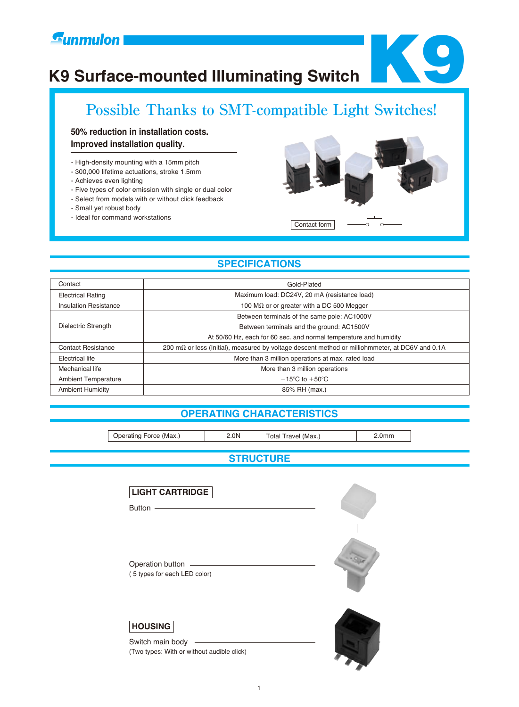# **K9 Surface-mounted Illuminating Switch**



# **Possible Thanks to SMT-compatible Light Switches!**

# **50% reduction in installation costs. Improved installation quality.**

- High-density mounting with a 15mm pitch
- 300,000 lifetime actuations, stroke 1.5mm
- Achieves even lighting
- Five types of color emission with single or dual color
- Select from models with or without click feedback
- Small yet robust body
- Ideal for command workstations



# **SPECIFICATIONS**

| Contact                    | Gold-Plated                                                                                     |  |  |  |  |
|----------------------------|-------------------------------------------------------------------------------------------------|--|--|--|--|
| <b>Electrical Rating</b>   | Maximum load: DC24V, 20 mA (resistance load)                                                    |  |  |  |  |
| Insulation Resistance      | 100 M $\Omega$ or or greater with a DC 500 Megger                                               |  |  |  |  |
| Dielectric Strength        | Between terminals of the same pole: AC1000V                                                     |  |  |  |  |
|                            | Between terminals and the ground: AC1500V                                                       |  |  |  |  |
|                            | At 50/60 Hz, each for 60 sec. and normal temperature and humidity                               |  |  |  |  |
| <b>Contact Resistance</b>  | 200 mΩ or less (Initial), measured by voltage descent method or milliohmmeter, at DC6V and 0.1A |  |  |  |  |
| Electrical life            | More than 3 million operations at max. rated load                                               |  |  |  |  |
| Mechanical life            | More than 3 million operations                                                                  |  |  |  |  |
| <b>Ambient Temperature</b> | $-15^{\circ}$ C to $+50^{\circ}$ C                                                              |  |  |  |  |
| <b>Ambient Humidity</b>    | 85% RH (max.)                                                                                   |  |  |  |  |

# **OPERATING CHARACTERISTICS**

Operating Force (Max.) 2.0N Total Travel (Max.) 2.0mm

**STRUCTURE**

| <b>LIGHT CARTRIDGE</b><br>Button -<br><u> 1989 - Andrea Barbara, amerikan personal di sebagai personal di sebagai personal di sebagai personal di seba</u> |  |
|------------------------------------------------------------------------------------------------------------------------------------------------------------|--|
| Operation button<br>(5 types for each LED color)                                                                                                           |  |
| <b>HOUSING</b><br>Switch main body<br>(Two types: With or without audible click)                                                                           |  |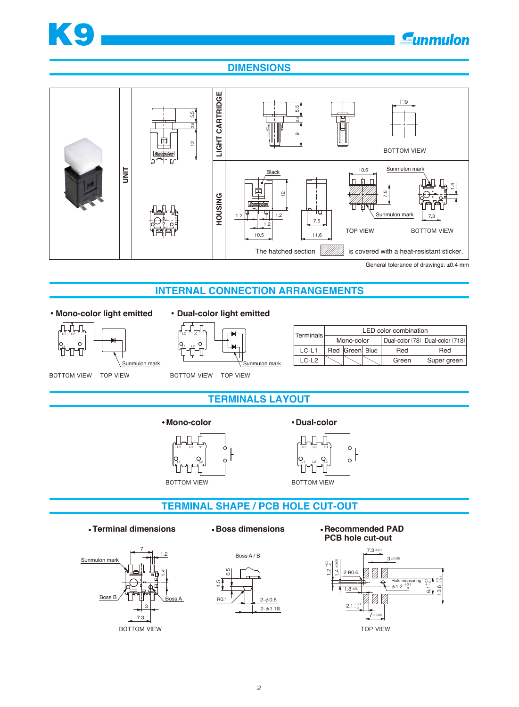

# **DIMENSIONS**



**INTERNAL CONNECTION ARRANGEMENTS**

## **• Mono-color light emitted • Dual-color light emitted**





| Terminals |            |                |  | LED color combination            |             |  |
|-----------|------------|----------------|--|----------------------------------|-------------|--|
|           | Mono-color |                |  | Dual-color (78) Dual-color (718) |             |  |
| $LC-L1$   |            | Red Green Blue |  | Red                              | Red         |  |
| $IC-I2$   |            |                |  | Green                            | Super green |  |

BOTTOM VIEW TOP VIEW

BOTTOM VIEW TOP VIEW

# **TERMINALS LAYOUT**



**Mono-color COLOR COLOR** 



# **TERMINAL SHAPE / PCB HOLE CUT-OUT**

**Terminal dimensions Boss dimensions Recommended PAD** 







# **PCB hole cut-out**

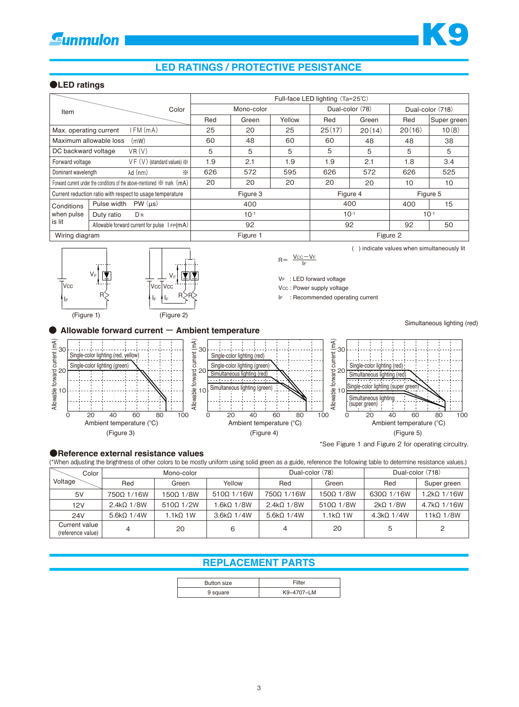# **LED RATINGS / PROTECTIVE PESISTANCE**

### **●LED ratings**

|                                                                               |                                                 |            |       |           | Full-face LED lighting (Ta=25°C) |           |                  |             |
|-------------------------------------------------------------------------------|-------------------------------------------------|------------|-------|-----------|----------------------------------|-----------|------------------|-------------|
| Item                                                                          | Color                                           | Mono-color |       |           | Dual-color (78)                  |           | Dual-color (718) |             |
|                                                                               |                                                 | Red        | Green | Yellow    | Red                              | Green     | Red              | Super green |
| Max. operating current                                                        | I FM (mA)                                       | 25         | 20    | 25        | 25(17)                           | 20(14)    | 20(16)           | 10(8)       |
| Maximum allowable loss<br>(mW)                                                |                                                 | 60         | 48    | 60        | 60                               | 48        | 48               | 38          |
| DC backward voltage                                                           | VR(V)                                           | 5          | 5     | 5         | 5                                | 5         | 5                | 5           |
| Forward voltage                                                               | $VF (V)$ (standard values) $\frac{1}{25}$       | 1.9        | 2.1   | 1.9       | 1.9                              | 2.1       | 1.8              | 3.4         |
| Dominant wavelength                                                           | $\lambda$ d $(mm)$<br>⋇                         | 626        | 572   | 595       | 626                              | 572       | 626              | 525         |
| Forward current under the conditions of the above-mentioned $\gg$ mark $(mA)$ |                                                 | 20         | 20    | 20        | 20                               | 20        | 10               | 10          |
| Current reduction ratio with respect to usage temperature                     |                                                 | Figure 3   |       | Figure 4  |                                  | Figure 5  |                  |             |
| Conditions                                                                    | PW (µs)<br>Pulse width                          | 400        |       | 400       |                                  | 400       | 15               |             |
| when pulse                                                                    | DR<br>Duty ratio                                | $10^{-1}$  |       | $10^{-1}$ |                                  | $10^{-1}$ |                  |             |
| is lit                                                                        | Allowable forward current for pulse $I = P(mA)$ | 92         |       | 92        |                                  | 92        | 50               |             |
| Wiring diagram                                                                |                                                 | Figure 1   |       |           | Figure 2                         |           |                  |             |





( ) indicate values when simultaneously lit

VF : LED forward voltage

Vcc : Power supply voltage

IF : Recommended operating current

Simultaneous lighting (red)



### **●Reference external resistance values**

(\*When adjusting the brightness of other colors to be mostly uniform using solid green as a guide, reference the following table to determine resistance values.)

| Color                              | Mono-color        |                 |                   | Dual-color (78)   |                  | Dual-color (718)       |                    |
|------------------------------------|-------------------|-----------------|-------------------|-------------------|------------------|------------------------|--------------------|
| Voltage                            | Red               | Green           | Yellow            | Red               | Green            | Red                    | Super green        |
| 5V                                 | 750Ω 1/16W        | 150Ω 1/8W       | $510\Omega$ 1/16W | 750Ω 1/16W        | 1500 1/8W        | $630\Omega$ 1/16W      | $1.2k\Omega$ 1/16W |
| 12V                                | $2.4k\Omega$ 1/8W | 5100 1/2W       | $1.6$ kΩ 1/8W     | $2.4k\Omega$ 1/8W | $510\Omega$ 1/8W | $2k\Omega$ 1/8W        | $4.7k\Omega$ 1/16W |
| <b>24V</b>                         | $5.6kQ$ $1/4W$    | $1.1k\Omega$ 1W | $3.6kQ$ $1/4W$    | $5.6kQ$ 1/4W      | $1.1kQ$ 1W       | 4.3k <sub>0</sub> 1/4W | $11k\Omega$ 1/8W   |
| Current value<br>(reference value) | 4                 | 20              | 6                 | 4                 | 20               | 5                      | $\overline{c}$     |

# **REPLACEMENT PARTS**

| Button size | Filter     |  |  |
|-------------|------------|--|--|
| 9 square    | K9-4707-LM |  |  |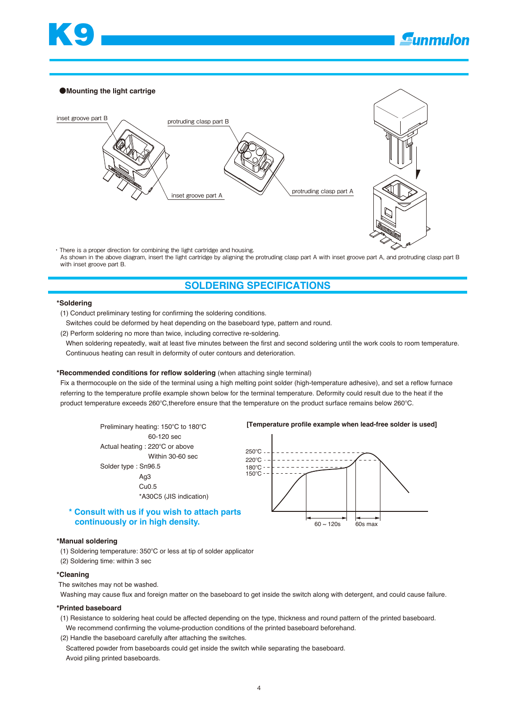

### ●**Mounting the light cartrige**



・There is a proper direction for combining the light cartridge and housing. As shown in the above diagram, insert the light cartridge by aligning the protruding clasp part A with inset groove part A, and protruding clasp part B with inset groove part B.

# **SOLDERING SPECIFICATIONS**

### **\*Soldering**

(1) Conduct preliminary testing for confirming the soldering conditions.

Switches could be deformed by heat depending on the baseboard type, pattern and round.

(2) Perform soldering no more than twice, including corrective re-soldering.

 When soldering repeatedly, wait at least five minutes between the first and second soldering until the work cools to room temperature. Continuous heating can result in deformity of outer contours and deterioration.

### **\*Recommended conditions for reflow soldering** (when attaching single terminal)

 Fix a thermocouple on the side of the terminal using a high melting point solder (high-temperature adhesive), and set a reflow furnace referring to the temperature profile example shown below for the terminal temperature. Deformity could result due to the heat if the product temperature exceeds 260°C, therefore ensure that the temperature on the product surface remains below 260°C.

 60-120 sec Actual heating : 220°C or above Within 30-60 sec Solder type : Sn96.5 Ag3 Cu0.5 \*A30C5 (JIS indication)

### **\* Consult with us if you wish to attach parts continuously or in high density.**

### **\*Manual soldering**

(1) Soldering temperature: 350°C or less at tip of solder applicator (2) Soldering time: within 3 sec

### **\*Cleaning**

The switches may not be washed.

Washing may cause flux and foreign matter on the baseboard to get inside the switch along with detergent, and could cause failure.

### **\*Printed baseboard**

 (1) Resistance to soldering heat could be affected depending on the type, thickness and round pattern of the printed baseboard. We recommend confirming the volume-production conditions of the printed baseboard beforehand.

(2) Handle the baseboard carefully after attaching the switches.

 Scattered powder from baseboards could get inside the switch while separating the baseboard. Avoid piling printed baseboards.

### **Preliminary heating: 150°C to 180°C [Temperature profile example when lead-free solder is used]**

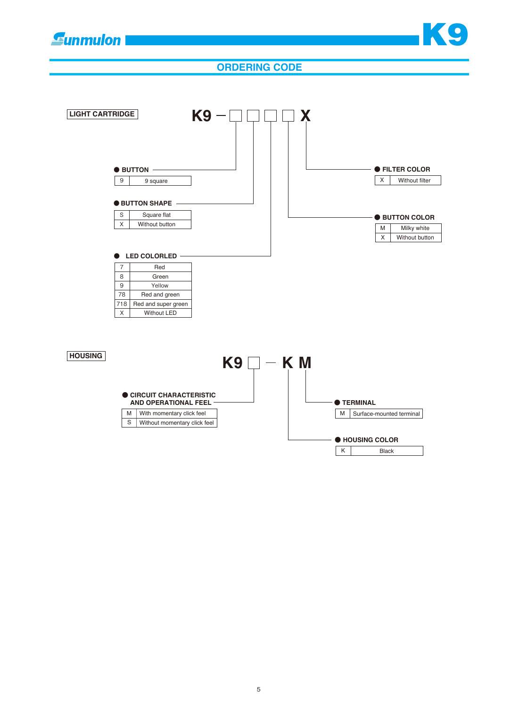**Gunmulon** 



# **ORDERING CODE**